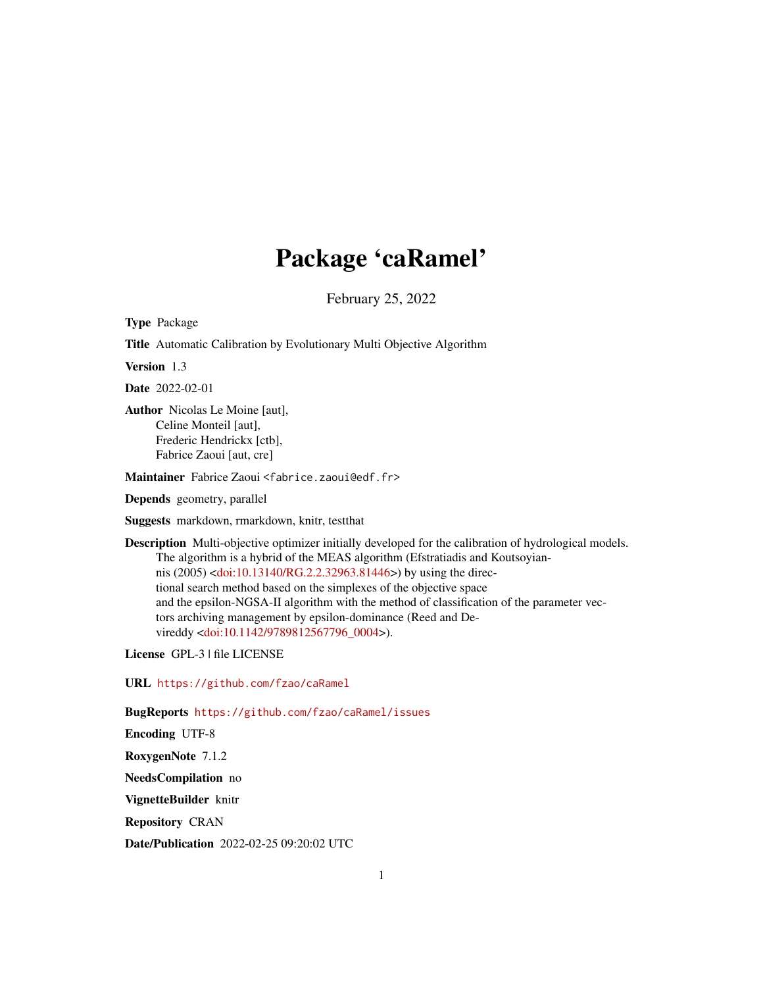# Package 'caRamel'

February 25, 2022

Type Package

Title Automatic Calibration by Evolutionary Multi Objective Algorithm

Version 1.3

Date 2022-02-01

Author Nicolas Le Moine [aut], Celine Monteil [aut], Frederic Hendrickx [ctb], Fabrice Zaoui [aut, cre]

Maintainer Fabrice Zaoui <fabrice.zaoui@edf.fr>

Depends geometry, parallel

Suggests markdown, rmarkdown, knitr, testthat

Description Multi-objective optimizer initially developed for the calibration of hydrological models. The algorithm is a hybrid of the MEAS algorithm (Efstratiadis and Koutsoyiannis (2005) [<doi:10.13140/RG.2.2.32963.81446>](https://doi.org/10.13140/RG.2.2.32963.81446)) by using the directional search method based on the simplexes of the objective space and the epsilon-NGSA-II algorithm with the method of classification of the parameter vectors archiving management by epsilon-dominance (Reed and Devireddy [<doi:10.1142/9789812567796\\_0004>](https://doi.org/10.1142/9789812567796_0004)).

License GPL-3 | file LICENSE

URL <https://github.com/fzao/caRamel>

BugReports <https://github.com/fzao/caRamel/issues>

Encoding UTF-8

RoxygenNote 7.1.2

NeedsCompilation no

VignetteBuilder knitr

Repository CRAN

Date/Publication 2022-02-25 09:20:02 UTC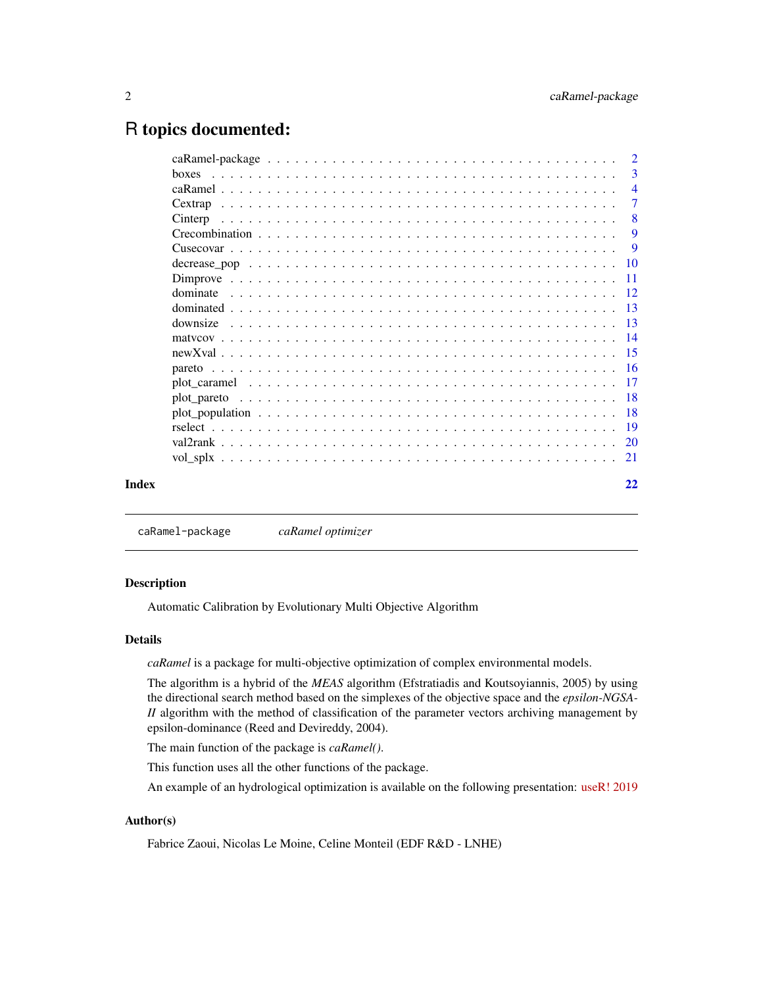# <span id="page-1-0"></span>R topics documented:

|         |  |  | $\overline{2}$ |
|---------|--|--|----------------|
| hoxes   |  |  | 3              |
|         |  |  | $\overline{4}$ |
| Cextrap |  |  | 7              |
|         |  |  | 8              |
|         |  |  | -9             |
|         |  |  | -9             |
|         |  |  |                |
|         |  |  |                |
|         |  |  |                |
|         |  |  |                |
|         |  |  |                |
|         |  |  |                |
|         |  |  |                |
|         |  |  |                |
|         |  |  |                |
|         |  |  |                |
|         |  |  |                |
|         |  |  |                |
|         |  |  |                |
|         |  |  |                |
|         |  |  | 22             |
|         |  |  |                |

caRamel-package *caRamel optimizer*

# Description

Automatic Calibration by Evolutionary Multi Objective Algorithm

#### Details

*caRamel* is a package for multi-objective optimization of complex environmental models.

The algorithm is a hybrid of the *MEAS* algorithm (Efstratiadis and Koutsoyiannis, 2005) by using the directional search method based on the simplexes of the objective space and the *epsilon-NGSA-II* algorithm with the method of classification of the parameter vectors archiving management by epsilon-dominance (Reed and Devireddy, 2004).

The main function of the package is *caRamel()*.

This function uses all the other functions of the package.

An example of an hydrological optimization is available on the following presentation: [useR! 2019](https://www.researchgate.net/publication/341931417_Automatic_Calibration_by_Evolutionary_Multi_Objective_Algorithm_the_caRamel_R_package)

#### Author(s)

Fabrice Zaoui, Nicolas Le Moine, Celine Monteil (EDF R&D - LNHE)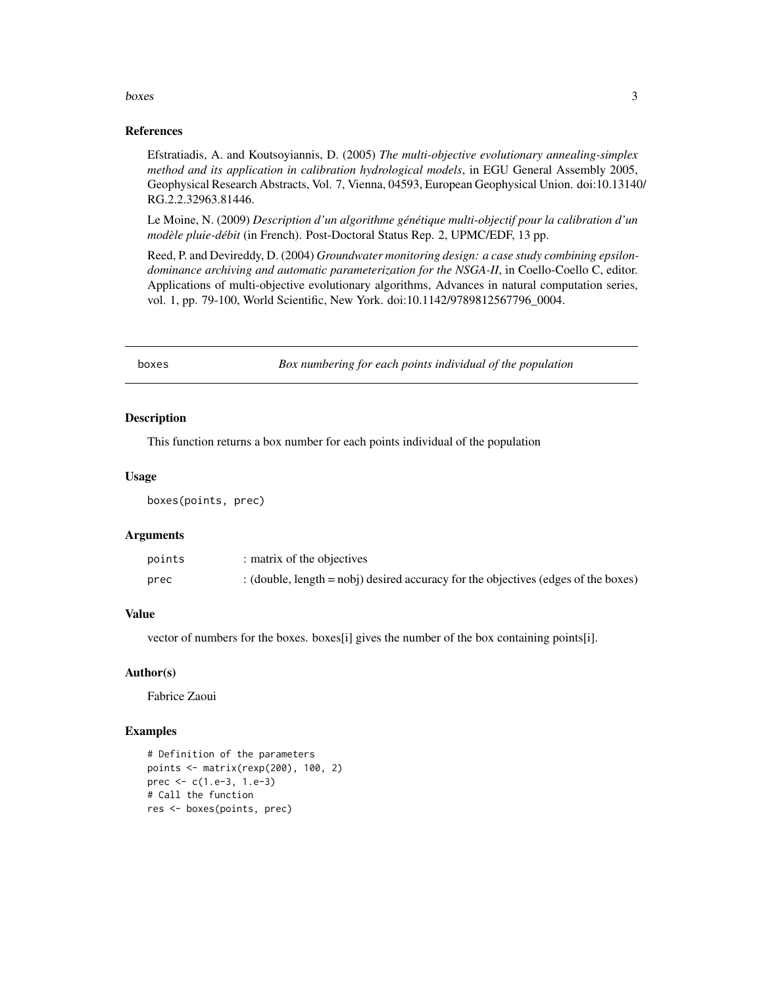#### <span id="page-2-0"></span>boxes 3

#### References

Efstratiadis, A. and Koutsoyiannis, D. (2005) *The multi-objective evolutionary annealing-simplex method and its application in calibration hydrological models*, in EGU General Assembly 2005, Geophysical Research Abstracts, Vol. 7, Vienna, 04593, European Geophysical Union. doi:10.13140/ RG.2.2.32963.81446.

Le Moine, N. (2009) *Description d'un algorithme génétique multi-objectif pour la calibration d'un modèle pluie-débit* (in French). Post-Doctoral Status Rep. 2, UPMC/EDF, 13 pp.

Reed, P. and Devireddy, D. (2004) *Groundwater monitoring design: a case study combining epsilondominance archiving and automatic parameterization for the NSGA-II*, in Coello-Coello C, editor. Applications of multi-objective evolutionary algorithms, Advances in natural computation series, vol. 1, pp. 79-100, World Scientific, New York. doi:10.1142/9789812567796\_0004.

boxes *Box numbering for each points individual of the population*

#### Description

This function returns a box number for each points individual of the population

#### Usage

boxes(points, prec)

#### Arguments

| points | : matrix of the objectives                                                            |
|--------|---------------------------------------------------------------------------------------|
| prec   | : (double, $length = nobj$ ) desired accuracy for the objectives (edges of the boxes) |

# Value

vector of numbers for the boxes. boxes[i] gives the number of the box containing points[i].

#### Author(s)

Fabrice Zaoui

```
# Definition of the parameters
points <- matrix(rexp(200), 100, 2)
prec <- c(1.e-3, 1.e-3)
# Call the function
res <- boxes(points, prec)
```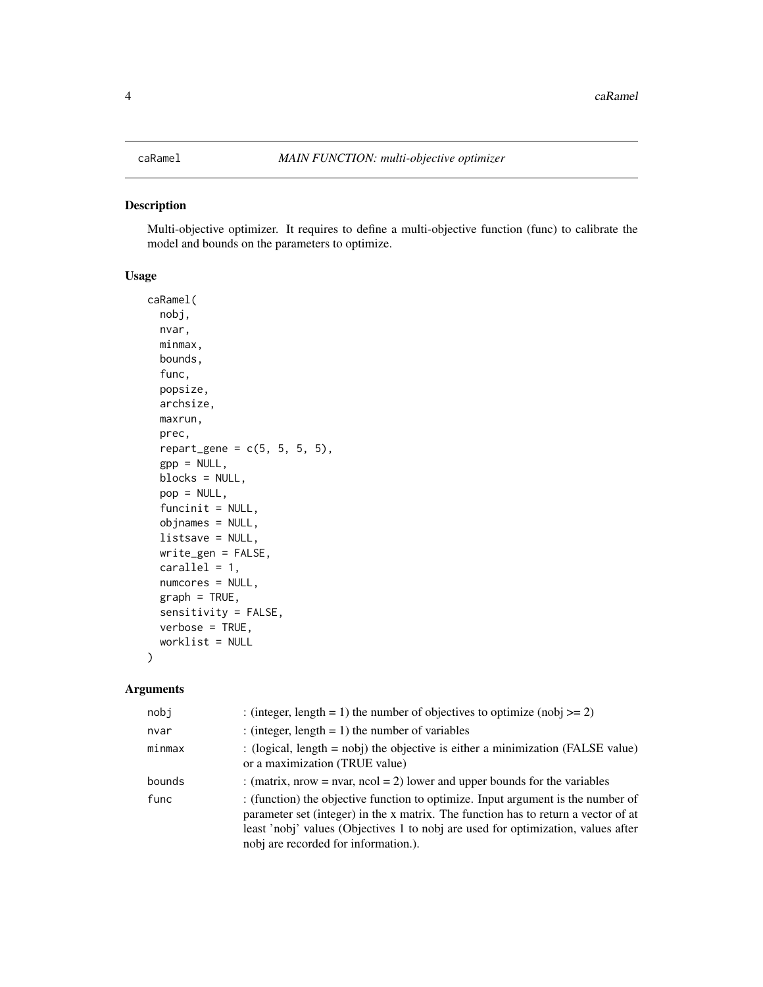<span id="page-3-0"></span>Multi-objective optimizer. It requires to define a multi-objective function (func) to calibrate the model and bounds on the parameters to optimize.

#### Usage

```
caRamel(
  nobj,
  nvar,
 minmax,
 bounds,
  func,
 popsize,
  archsize,
 maxrun,
  prec,
  repart\_gene = c(5, 5, 5, 5),
  gpp = NULL,blocks = NULL,
  pop = NULL,
  funcinit = NULL,
  objnames = NULL,
  listsave = NULL,
 write_gen = FALSE,
  cardle1 = 1,
  numcores = NULL,
  graph = TRUE,sensitivity = FALSE,
 verbose = TRUE,
  worklist = NULL
\mathcal{L}
```
#### Arguments

| nobj   | : (integer, length = 1) the number of objectives to optimize (nobj $>= 2$ )                                                                                                                                                                                                                         |
|--------|-----------------------------------------------------------------------------------------------------------------------------------------------------------------------------------------------------------------------------------------------------------------------------------------------------|
| nvar   | : (integer, length = 1) the number of variables                                                                                                                                                                                                                                                     |
| minmax | : (logical, length $=$ nobj) the objective is either a minimization (FALSE value)<br>or a maximization (TRUE value)                                                                                                                                                                                 |
| bounds | : (matrix, nrow = nvar, ncol = 2) lower and upper bounds for the variables                                                                                                                                                                                                                          |
| func   | : (function) the objective function to optimize. Input argument is the number of<br>parameter set (integer) in the x matrix. The function has to return a vector of at<br>least 'nobj' values (Objectives 1 to nobj are used for optimization, values after<br>nobj are recorded for information.). |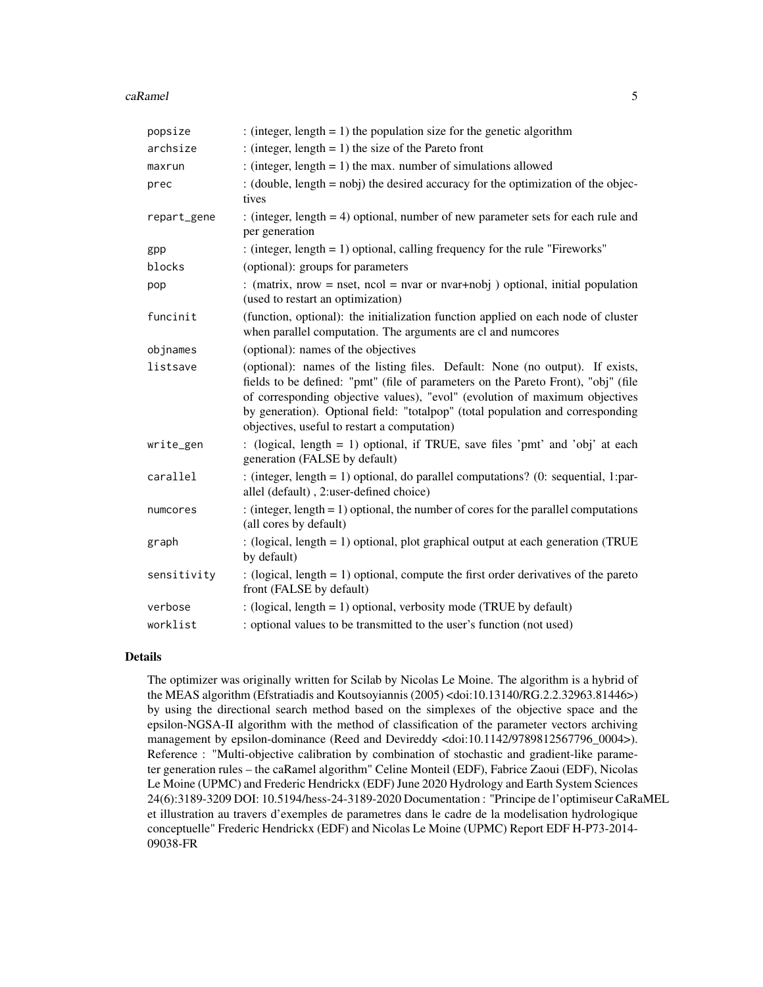#### caRamel 5 and 5 and 5 and 5 and 5 and 5 and 5 and 5 and 5 and 5 and 5 and 5 and 5 and 5 and 5 and 5 and 5 and 5 and 5 and 5 and 5 and 5 and 5 and 5 and 5 and 5 and 5 and 5 and 5 and 5 and 5 and 5 and 5 and 5 and 5 and 5 an

| popsize     | : (integer, length = 1) the population size for the genetic algorithm                                                                                                                                                                                                                                                                                                               |
|-------------|-------------------------------------------------------------------------------------------------------------------------------------------------------------------------------------------------------------------------------------------------------------------------------------------------------------------------------------------------------------------------------------|
| archsize    | : (integer, length = 1) the size of the Pareto front                                                                                                                                                                                                                                                                                                                                |
| maxrun      | : (integer, length $= 1$ ) the max. number of simulations allowed                                                                                                                                                                                                                                                                                                                   |
| prec        | : (double, $length = nobj$ ) the desired accuracy for the optimization of the objec-<br>tives                                                                                                                                                                                                                                                                                       |
| repart_gene | : (integer, length $= 4$ ) optional, number of new parameter sets for each rule and<br>per generation                                                                                                                                                                                                                                                                               |
| gpp         | : (integer, length = 1) optional, calling frequency for the rule "Fireworks"                                                                                                                                                                                                                                                                                                        |
| blocks      | (optional): groups for parameters                                                                                                                                                                                                                                                                                                                                                   |
| pop         | : (matrix, nrow = nset, ncol = nvar or nvar+nobj) optional, initial population<br>(used to restart an optimization)                                                                                                                                                                                                                                                                 |
| funcinit    | (function, optional): the initialization function applied on each node of cluster<br>when parallel computation. The arguments are cl and numcores                                                                                                                                                                                                                                   |
| objnames    | (optional): names of the objectives                                                                                                                                                                                                                                                                                                                                                 |
| listsave    | (optional): names of the listing files. Default: None (no output). If exists,<br>fields to be defined: "pmt" (file of parameters on the Pareto Front), "obj" (file<br>of corresponding objective values), "evol" (evolution of maximum objectives<br>by generation). Optional field: "totalpop" (total population and corresponding<br>objectives, useful to restart a computation) |
| write_gen   | : (logical, length = 1) optional, if TRUE, save files 'pmt' and 'obj' at each<br>generation (FALSE by default)                                                                                                                                                                                                                                                                      |
| carallel    | : (integer, length = 1) optional, do parallel computations? (0: sequential, 1:par-<br>allel (default), 2:user-defined choice)                                                                                                                                                                                                                                                       |
| numcores    | : (integer, length = 1) optional, the number of cores for the parallel computations<br>(all cores by default)                                                                                                                                                                                                                                                                       |
| graph       | : (logical, length = 1) optional, plot graphical output at each generation (TRUE<br>by default)                                                                                                                                                                                                                                                                                     |
| sensitivity | : (logical, length $= 1$ ) optional, compute the first order derivatives of the pareto<br>front (FALSE by default)                                                                                                                                                                                                                                                                  |
| verbose     | : (logical, length = 1) optional, verbosity mode (TRUE by default)                                                                                                                                                                                                                                                                                                                  |
| worklist    | : optional values to be transmitted to the user's function (not used)                                                                                                                                                                                                                                                                                                               |

#### Details

The optimizer was originally written for Scilab by Nicolas Le Moine. The algorithm is a hybrid of the MEAS algorithm (Efstratiadis and Koutsoyiannis (2005) <doi:10.13140/RG.2.2.32963.81446>) by using the directional search method based on the simplexes of the objective space and the epsilon-NGSA-II algorithm with the method of classification of the parameter vectors archiving management by epsilon-dominance (Reed and Devireddy <doi:10.1142/9789812567796\_0004>). Reference : "Multi-objective calibration by combination of stochastic and gradient-like parameter generation rules – the caRamel algorithm" Celine Monteil (EDF), Fabrice Zaoui (EDF), Nicolas Le Moine (UPMC) and Frederic Hendrickx (EDF) June 2020 Hydrology and Earth System Sciences 24(6):3189-3209 DOI: 10.5194/hess-24-3189-2020 Documentation : "Principe de l'optimiseur CaRaMEL et illustration au travers d'exemples de parametres dans le cadre de la modelisation hydrologique conceptuelle" Frederic Hendrickx (EDF) and Nicolas Le Moine (UPMC) Report EDF H-P73-2014- 09038-FR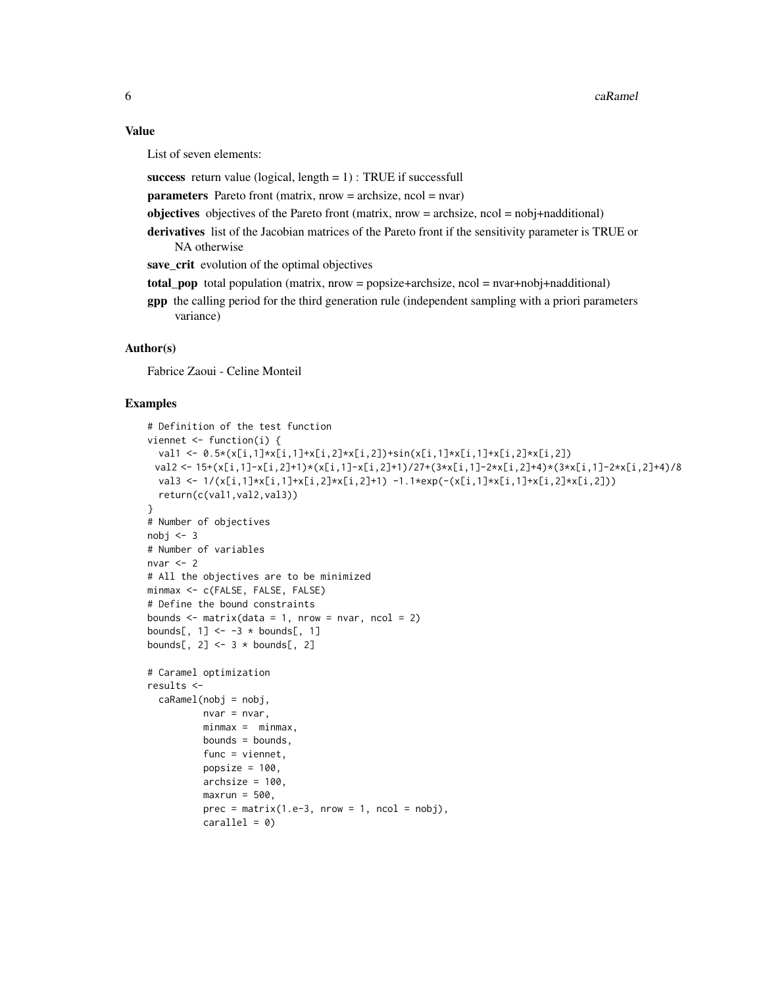#### Value

List of seven elements:

success return value (logical, length  $= 1$ ) : TRUE if successfull

 $parameters$  Pareto front (matrix, nrow = archsize, ncol = nvar)

objectives objectives of the Pareto front (matrix, nrow = archsize, ncol = nobj+nadditional)

derivatives list of the Jacobian matrices of the Pareto front if the sensitivity parameter is TRUE or NA otherwise

save\_crit evolution of the optimal objectives

- total population (matrix, nrow = popsize+archsize, ncol = nvar+nobj+nadditional)
- gpp the calling period for the third generation rule (independent sampling with a priori parameters variance)

#### Author(s)

Fabrice Zaoui - Celine Monteil

```
# Definition of the test function
viennet <- function(i) {
  val1 <- 0.5*(x[i,1]*x[i,1]+x[i,2]*x[i,2])+sin(x[i,1]*x[i,1]+x[i,2]*x[i,2])
 val2 <- 15+(x[i,1]-x[i,2]+1)*(x[i,1]-x[i,2]+1)/27+(3*x[i,1]-2*x[i,2]+4)*(3*x[i,1]-2*x[i,2]+4)/8
  val3 <- 1/(x[i,1]*x[i,1]+x[i,2]*x[i,2]+1) -1.1*exp(-(x[i,1]*x[i,1]+x[i,2]*x[i,2]))
  return(c(val1,val2,val3))
}
# Number of objectives
nobj < -3# Number of variables
nvar <-2# All the objectives are to be minimized
minmax <- c(FALSE, FALSE, FALSE)
# Define the bound constraints
bounds \leq matrix(data = 1, nrow = nvar, ncol = 2)
bounds[, 1] <- -3 * bounds[, 1]
bounds[, 2] <- 3 * bounds[, 2]
# Caramel optimization
results <-
  caRamel(nobj = nobj,nvar = nvar,
         minmax = minmax,bounds = bounds,
         func = viennet,
         popsize = 100,
          archsize = 100,
         maxrun = 500,
          prec = matrix(1.e-3, nrow = 1, ncol = nobj),cardle1 = 0
```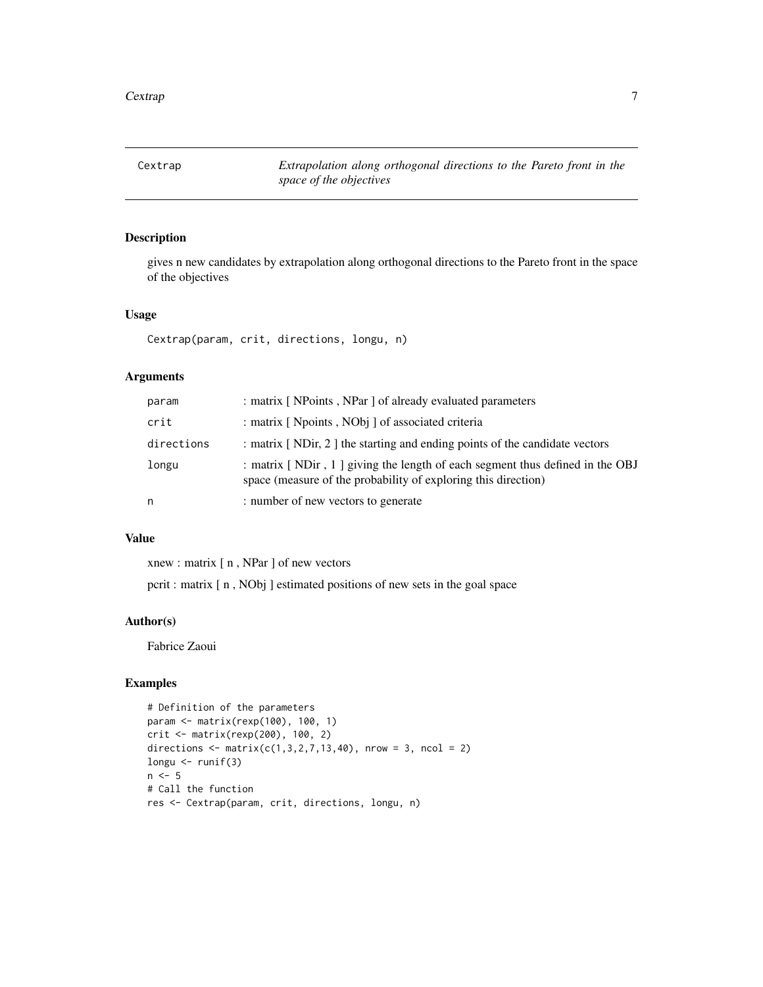<span id="page-6-0"></span>Cextrap *Extrapolation along orthogonal directions to the Pareto front in the space of the objectives*

# Description

gives n new candidates by extrapolation along orthogonal directions to the Pareto front in the space of the objectives

#### Usage

Cextrap(param, crit, directions, longu, n)

# Arguments

| param      | : matrix [NPoints, NPar ] of already evaluated parameters                                                                                      |
|------------|------------------------------------------------------------------------------------------------------------------------------------------------|
| crit       | : matrix [ Npoints, NObj ] of associated criteria                                                                                              |
| directions | : matrix [NDir, 2] the starting and ending points of the candidate vectors                                                                     |
| longu      | : matrix [NDir, 1] giving the length of each segment thus defined in the OBJ<br>space (measure of the probability of exploring this direction) |
| n          | : number of new vectors to generate                                                                                                            |

#### Value

xnew : matrix [ n , NPar ] of new vectors

pcrit : matrix [ n , NObj ] estimated positions of new sets in the goal space

#### Author(s)

Fabrice Zaoui

```
# Definition of the parameters
param <- matrix(rexp(100), 100, 1)
crit <- matrix(rexp(200), 100, 2)
directions <- matrix(c(1,3,2,7,13,40), nrow = 3, ncol = 2)
longu <- runif(3)
n \le -5# Call the function
res <- Cextrap(param, crit, directions, longu, n)
```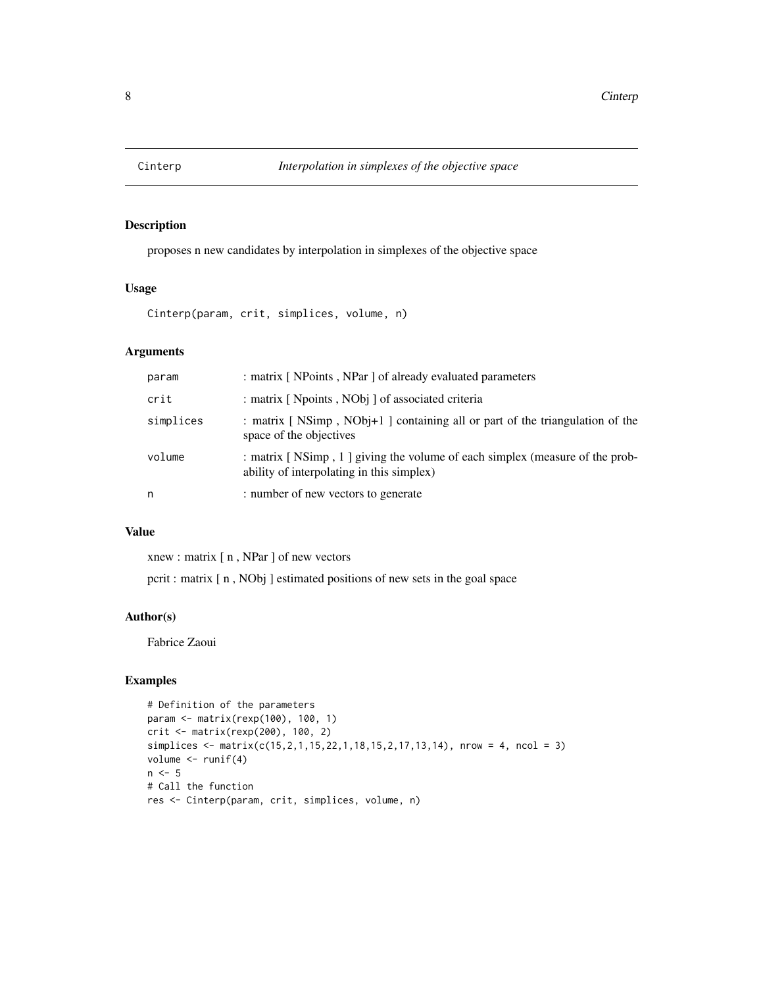<span id="page-7-0"></span>

proposes n new candidates by interpolation in simplexes of the objective space

#### Usage

Cinterp(param, crit, simplices, volume, n)

### Arguments

| param     | : matrix [ NPoints, NPar ] of already evaluated parameters                                                               |
|-----------|--------------------------------------------------------------------------------------------------------------------------|
| crit      | : matrix [ Npoints, NObj ] of associated criteria                                                                        |
| simplices | : matrix [NSimp, NObj+1] containing all or part of the triangulation of the<br>space of the objectives                   |
| volume    | : matrix [NSimp, 1] giving the volume of each simplex (measure of the prob-<br>ability of interpolating in this simplex) |
| n         | : number of new vectors to generate                                                                                      |

#### Value

xnew : matrix [ n , NPar ] of new vectors

pcrit : matrix [ n , NObj ] estimated positions of new sets in the goal space

#### Author(s)

Fabrice Zaoui

```
# Definition of the parameters
param <- matrix(rexp(100), 100, 1)
crit <- matrix(rexp(200), 100, 2)
simplices <- matrix(c(15,2,1,15,22,1,18,15,2,17,13,14), nrow = 4, ncol = 3)
volume <- runif(4)
n < -5# Call the function
res <- Cinterp(param, crit, simplices, volume, n)
```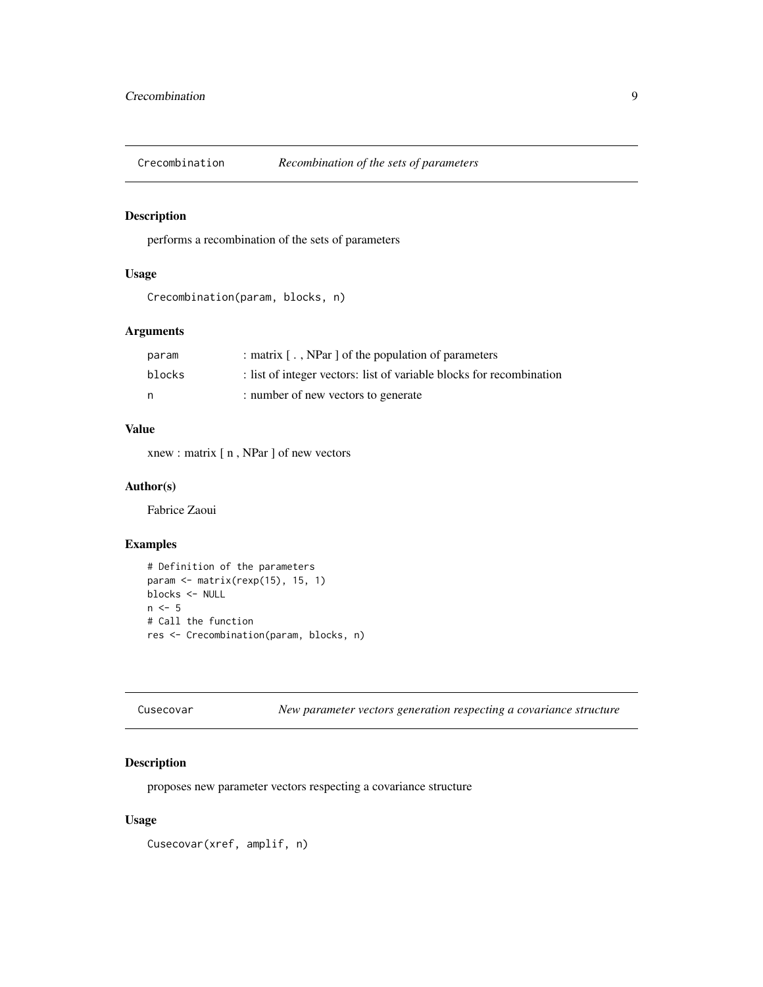<span id="page-8-0"></span>

performs a recombination of the sets of parameters

# Usage

```
Crecombination(param, blocks, n)
```
# Arguments

| param  | : matrix [, NPar ] of the population of parameters                   |
|--------|----------------------------------------------------------------------|
| blocks | : list of integer vectors: list of variable blocks for recombination |
| n      | : number of new vectors to generate                                  |

#### Value

xnew : matrix [ n , NPar ] of new vectors

#### Author(s)

Fabrice Zaoui

#### Examples

```
# Definition of the parameters
param <- matrix(rexp(15), 15, 1)
blocks <- NULL
n < -5# Call the function
res <- Crecombination(param, blocks, n)
```
Cusecovar *New parameter vectors generation respecting a covariance structure*

## Description

proposes new parameter vectors respecting a covariance structure

# Usage

Cusecovar(xref, amplif, n)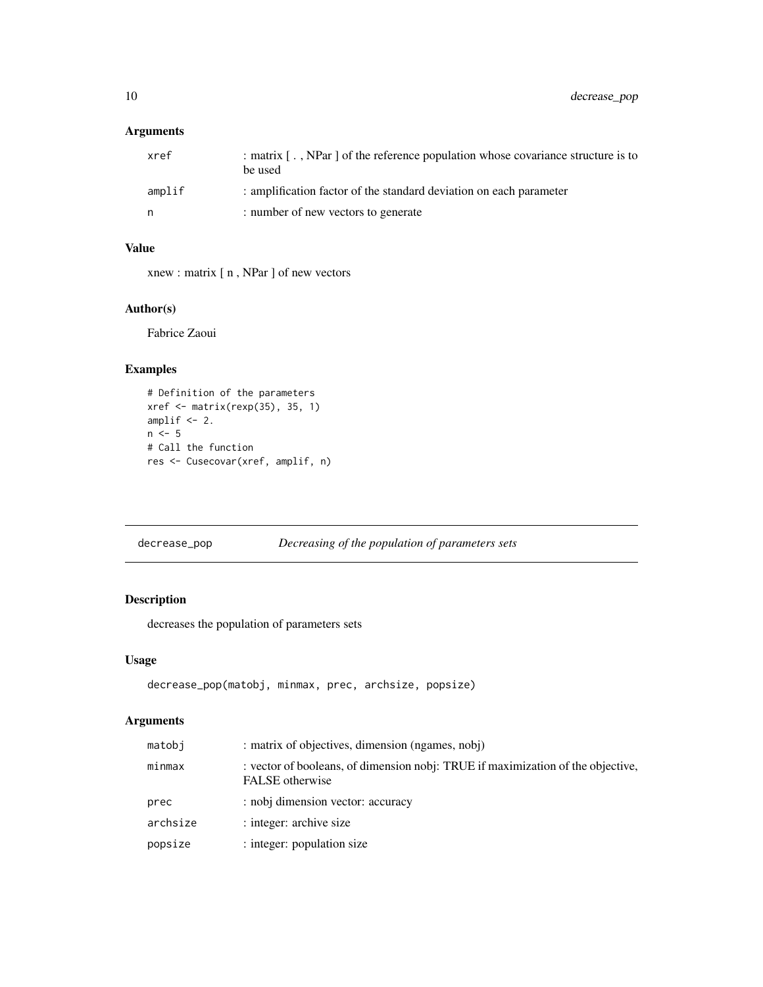<span id="page-9-0"></span>10 decrease\_pop

# Arguments

| xref   | : matrix [, NPar ] of the reference population whose covariance structure is to<br>be used |
|--------|--------------------------------------------------------------------------------------------|
| amplif | : amplification factor of the standard deviation on each parameter                         |
| n      | : number of new vectors to generate                                                        |

# Value

xnew : matrix [ n , NPar ] of new vectors

# Author(s)

Fabrice Zaoui

# Examples

```
# Definition of the parameters
xref <- matrix(rexp(35), 35, 1)
amplif <-2.
n \leq -5# Call the function
res <- Cusecovar(xref, amplif, n)
```

| decrease_pop |  | Decreasing of the population of parameters sets |
|--------------|--|-------------------------------------------------|
|              |  |                                                 |

# Description

decreases the population of parameters sets

# Usage

```
decrease_pop(matobj, minmax, prec, archsize, popsize)
```
# Arguments

| matobi   | : matrix of objectives, dimension (ngames, nobj)                                                   |
|----------|----------------------------------------------------------------------------------------------------|
| minmax   | : vector of booleans, of dimension nobj: TRUE if maximization of the objective,<br>FALSE otherwise |
| prec     | : nobj dimension vector: accuracy                                                                  |
| archsize | : integer: archive size                                                                            |
| popsize  | : integer: population size                                                                         |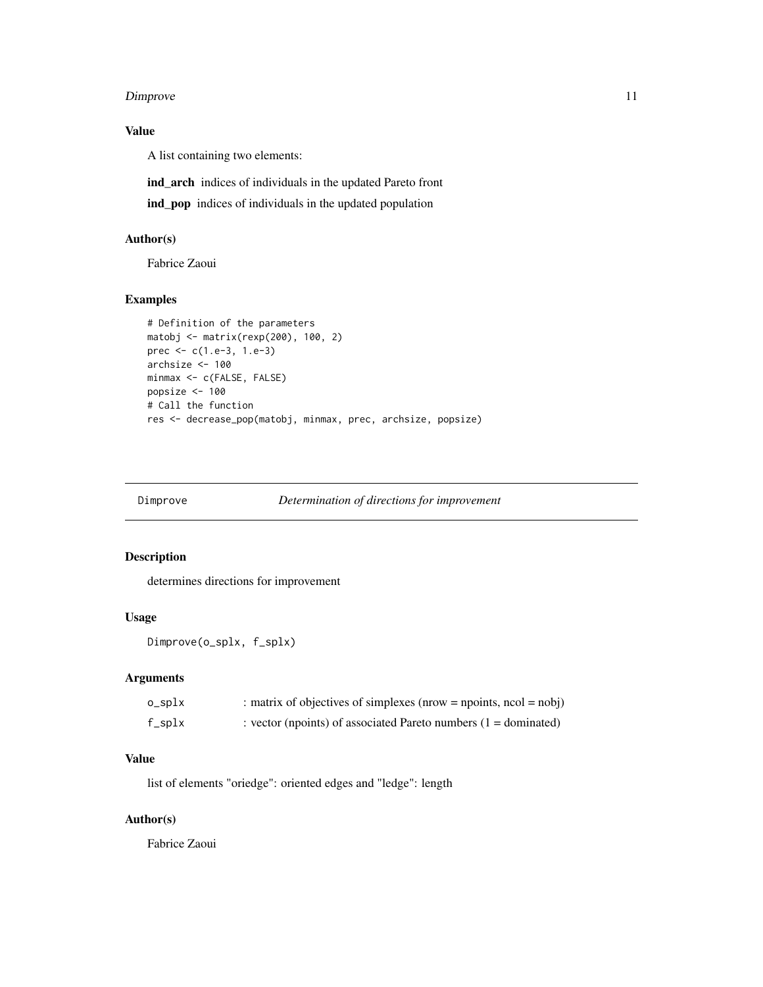#### <span id="page-10-0"></span>Dimprove 2012 11 and 2012 12:00 the contract of the contract of the contract of the contract of the contract of the contract of the contract of the contract of the contract of the contract of the contract of the contract o

# Value

A list containing two elements:

ind\_arch indices of individuals in the updated Pareto front

ind\_pop indices of individuals in the updated population

# Author(s)

Fabrice Zaoui

#### Examples

```
# Definition of the parameters
matobj <- matrix(rexp(200), 100, 2)
prec <- c(1.e-3, 1.e-3)
archsize <- 100
minmax <- c(FALSE, FALSE)
popsize <- 100
# Call the function
res <- decrease_pop(matobj, minmax, prec, archsize, popsize)
```

| Dimprove<br>Determination of directions for improvement |
|---------------------------------------------------------|
|---------------------------------------------------------|

# Description

determines directions for improvement

#### Usage

```
Dimprove(o_splx, f_splx)
```
# Arguments

| o_splx | : matrix of objectives of simplexes (nrow = npoints, $ncol = nobj$ ) |
|--------|----------------------------------------------------------------------|
| f_splx | : vector (npoints) of associated Pareto numbers $(1 =$ dominated)    |

#### Value

list of elements "oriedge": oriented edges and "ledge": length

# Author(s)

Fabrice Zaoui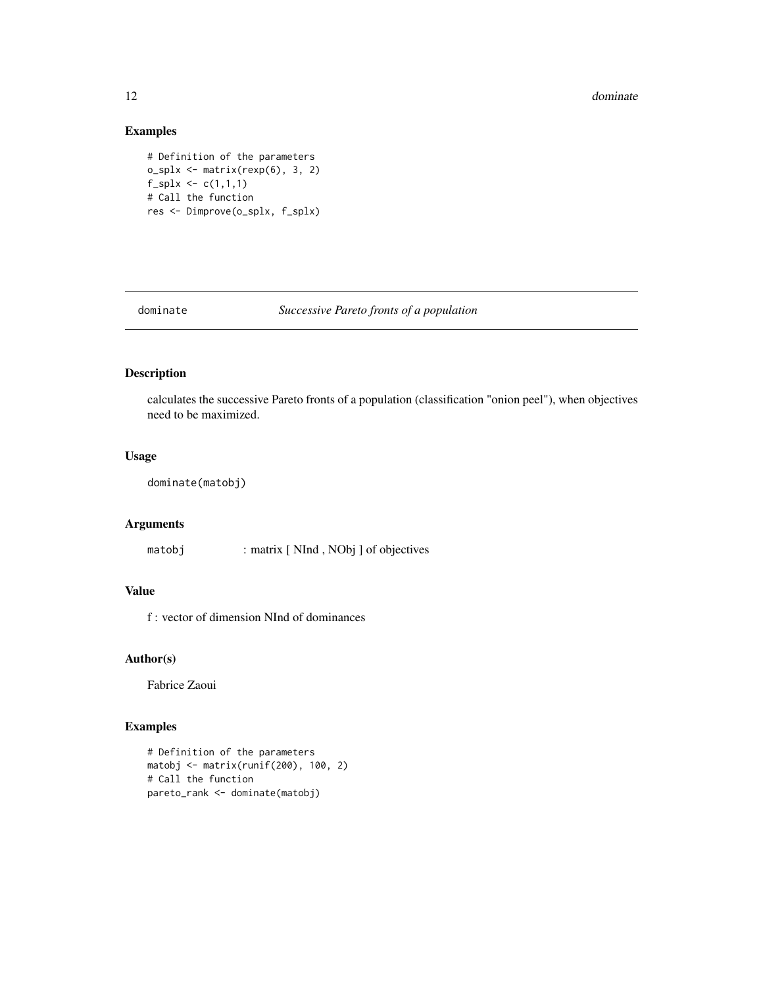#### <span id="page-11-0"></span>12 dominate and the contract of the contract of the contract of the contract of the contract of the contract of the contract of the contract of the contract of the contract of the contract of the contract of the contract o

# Examples

```
# Definition of the parameters
o_splx <- matrix(rexp(6), 3, 2)
f_splx \leftarrow c(1,1,1)# Call the function
res <- Dimprove(o_splx, f_splx)
```
dominate *Successive Pareto fronts of a population*

# Description

calculates the successive Pareto fronts of a population (classification "onion peel"), when objectives need to be maximized.

#### Usage

dominate(matobj)

# Arguments

matobj : matrix [ NInd , NObj ] of objectives

# Value

f : vector of dimension NInd of dominances

#### Author(s)

Fabrice Zaoui

```
# Definition of the parameters
matobj <- matrix(runif(200), 100, 2)
# Call the function
pareto_rank <- dominate(matobj)
```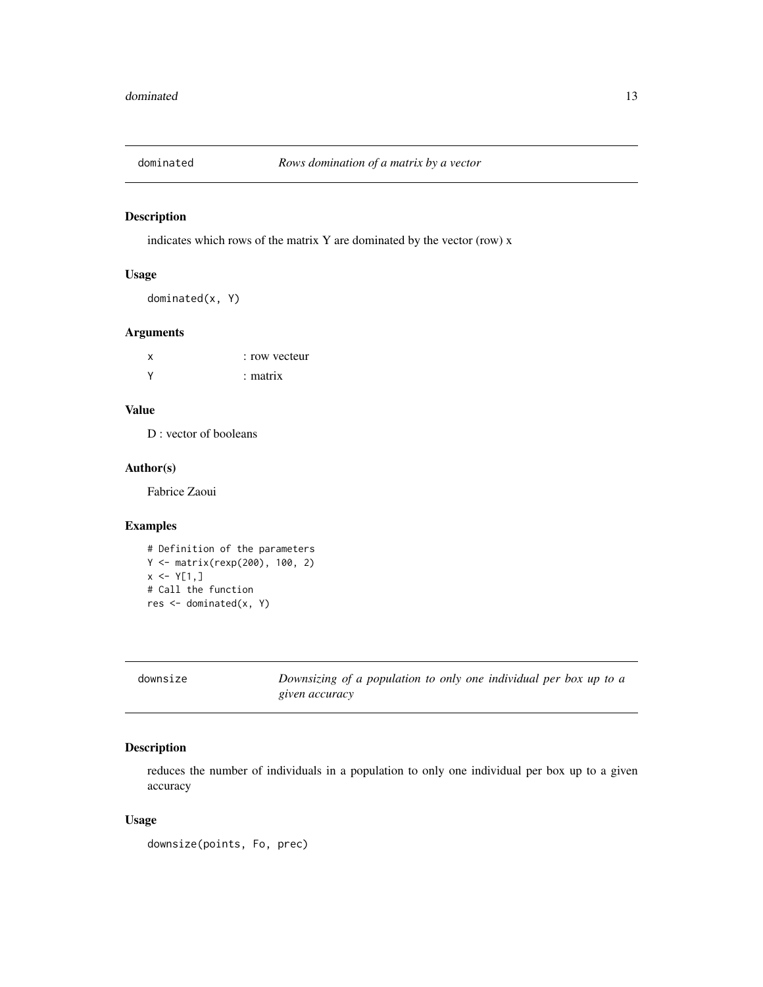<span id="page-12-0"></span>

indicates which rows of the matrix Y are dominated by the vector (row) x

# Usage

dominated(x, Y)

# Arguments

| х      | : row vecteur |
|--------|---------------|
| $\vee$ | $:$ matrix    |

#### Value

D : vector of booleans

#### Author(s)

Fabrice Zaoui

# Examples

```
# Definition of the parameters
Y <- matrix(rexp(200), 100, 2)
x \le -Y[1,]# Call the function
res <- dominated(x, Y)
```

| downsize | Downsizing of a population to only one individual per box up to a |
|----------|-------------------------------------------------------------------|
|          | given accuracy                                                    |

# Description

reduces the number of individuals in a population to only one individual per box up to a given accuracy

# Usage

downsize(points, Fo, prec)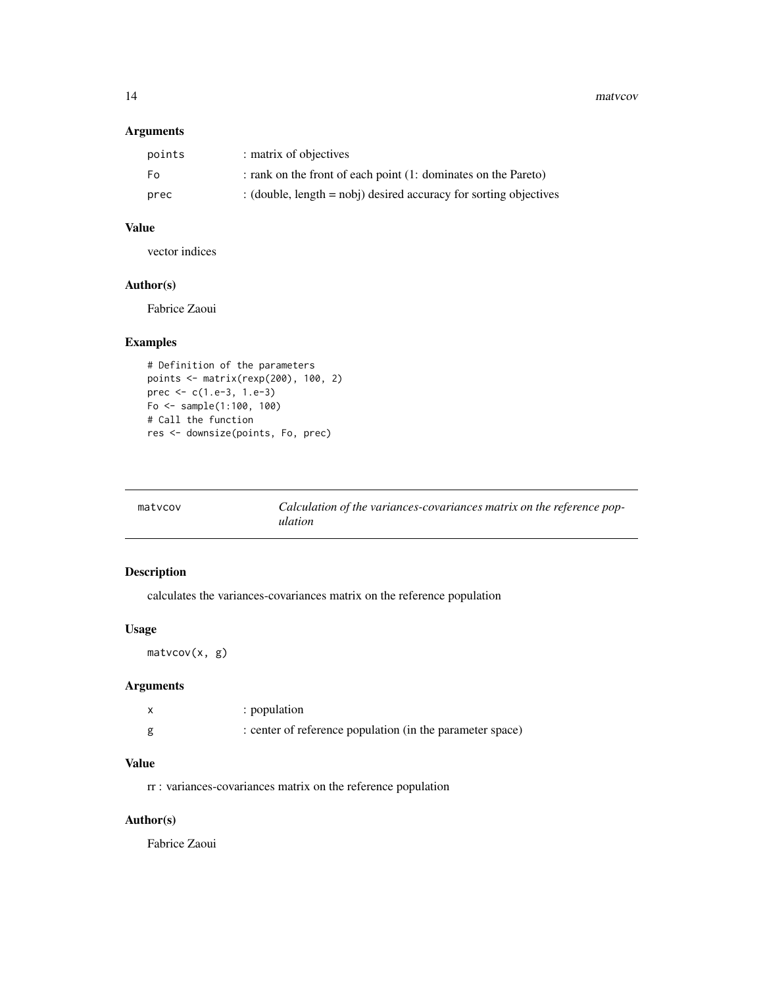<span id="page-13-0"></span>14 matvcov

#### Arguments

| points | : matrix of objectives                                              |
|--------|---------------------------------------------------------------------|
| Fo.    | : rank on the front of each point (1: dominates on the Pareto)      |
| prec   | : (double, length $=$ nobi) desired accuracy for sorting objectives |

# Value

vector indices

# Author(s)

Fabrice Zaoui

# Examples

```
# Definition of the parameters
points <- matrix(rexp(200), 100, 2)
prec <- c(1.e-3, 1.e-3)
Fo <- sample(1:100, 100)
# Call the function
res <- downsize(points, Fo, prec)
```

| matycov | Calculation of the variances-covariances matrix on the reference pop- |
|---------|-----------------------------------------------------------------------|
|         | ulation                                                               |

# Description

calculates the variances-covariances matrix on the reference population

#### Usage

matvcov(x, g)

# Arguments

| : population                                              |
|-----------------------------------------------------------|
| : center of reference population (in the parameter space) |

# Value

rr : variances-covariances matrix on the reference population

# Author(s)

Fabrice Zaoui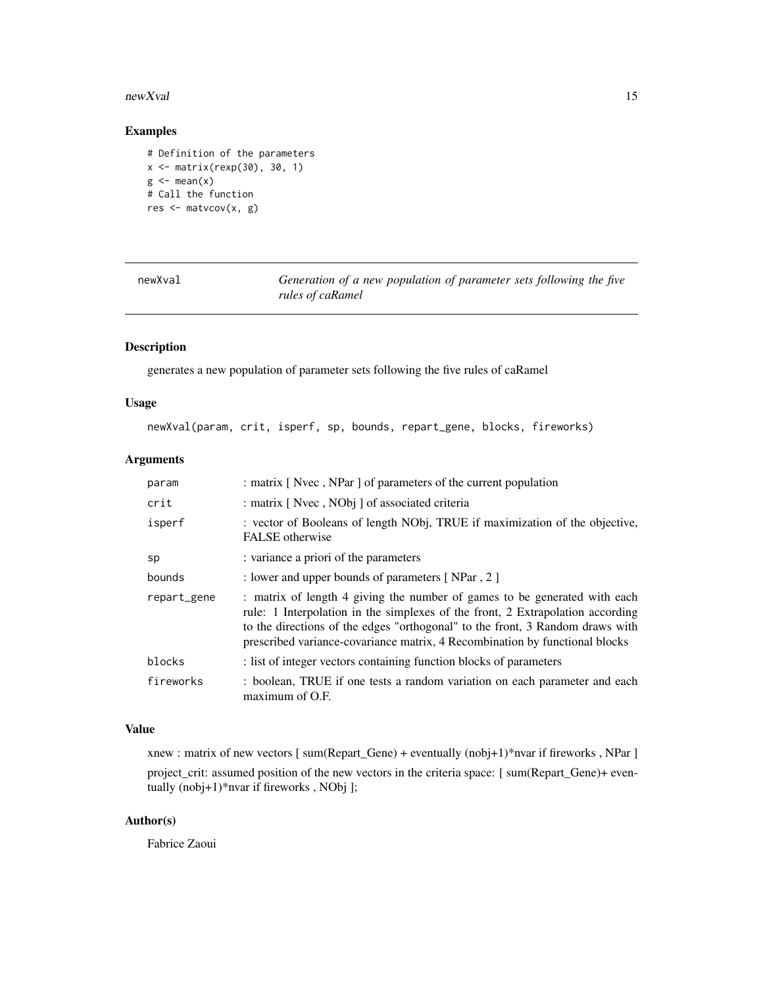#### <span id="page-14-0"></span>newXval and the state of the state of the state of the state of the state of the state of the state of the state of the state of the state of the state of the state of the state of the state of the state of the state of th

## Examples

```
# Definition of the parameters
x <- matrix(rexp(30), 30, 1)
g \leftarrow \text{mean}(x)# Call the function
res <- matvcov(x, g)
```

| newXval |
|---------|
|---------|

Generation of a new population of parameter sets following the five *rules of caRamel*

# Description

generates a new population of parameter sets following the five rules of caRamel

#### Usage

```
newXval(param, crit, isperf, sp, bounds, repart_gene, blocks, fireworks)
```
# Arguments

| param       | : matrix [Nvec, NPar] of parameters of the current population                                                                                                                                                                                                                                                               |
|-------------|-----------------------------------------------------------------------------------------------------------------------------------------------------------------------------------------------------------------------------------------------------------------------------------------------------------------------------|
| crit        | : matrix [ Nvec, NObj ] of associated criteria                                                                                                                                                                                                                                                                              |
| isperf      | : vector of Booleans of length NObj, TRUE if maximization of the objective,<br><b>FALSE</b> otherwise                                                                                                                                                                                                                       |
| sp          | : variance a priori of the parameters                                                                                                                                                                                                                                                                                       |
| bounds      | : lower and upper bounds of parameters [NPar, 2]                                                                                                                                                                                                                                                                            |
| repart_gene | : matrix of length 4 giving the number of games to be generated with each<br>rule: 1 Interpolation in the simplexes of the front, 2 Extrapolation according<br>to the directions of the edges "orthogonal" to the front, 3 Random draws with<br>prescribed variance-covariance matrix, 4 Recombination by functional blocks |
| blocks      | : list of integer vectors containing function blocks of parameters                                                                                                                                                                                                                                                          |
| fireworks   | : boolean, TRUE if one tests a random variation on each parameter and each<br>maximum of O.F.                                                                                                                                                                                                                               |

#### Value

xnew : matrix of new vectors [ sum(Repart\_Gene) + eventually (nobj+1)\*nvar if fireworks , NPar ] project\_crit: assumed position of the new vectors in the criteria space: [ sum(Repart\_Gene)+ eventually (nobj+1)\*nvar if fireworks , NObj ];

#### Author(s)

Fabrice Zaoui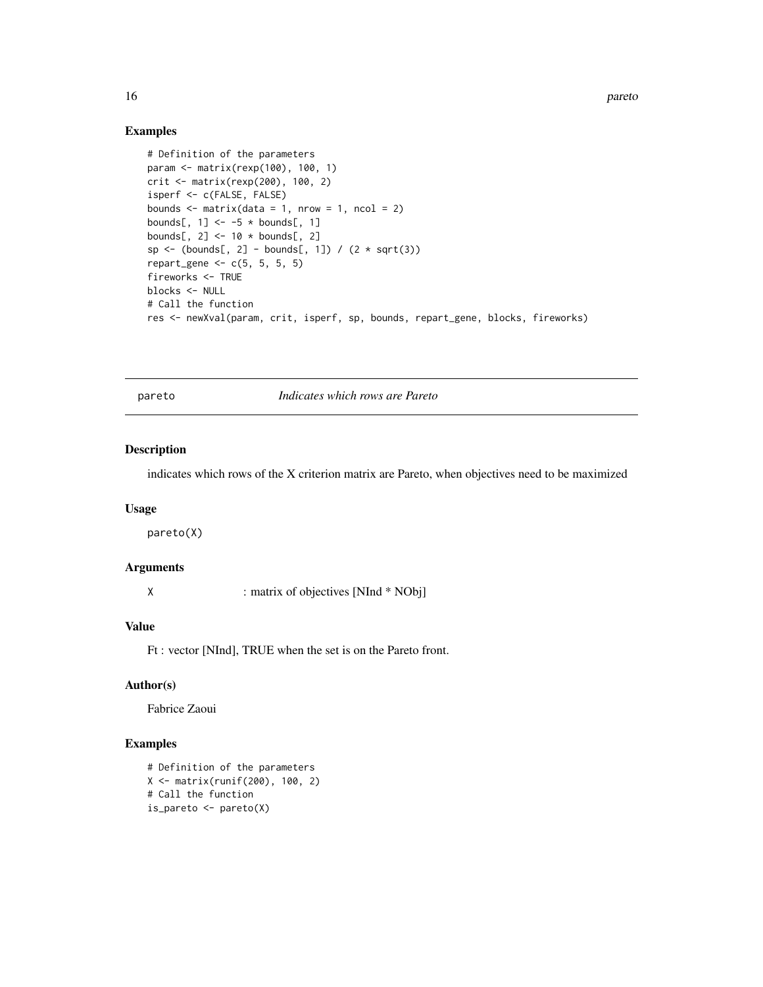<span id="page-15-0"></span>16 pareto pareto and the set of the set of the set of the set of the set of the set of the set of the set of the set of the set of the set of the set of the set of the set of the set of the set of the set of the set of the

#### Examples

```
# Definition of the parameters
param <- matrix(rexp(100), 100, 1)
crit <- matrix(rexp(200), 100, 2)
isperf <- c(FALSE, FALSE)
bounds \leq matrix(data = 1, nrow = 1, ncol = 2)
bounds[, 1] <- -5 * bounds[, 1]
bounds[, 2] <- 10 * bounds[, 2]
sp \leftarrow (bounds[, 2] - bounds[, 1]) / (2 * sqrt(3))repart_gene \leq c(5, 5, 5, 5)
fireworks <- TRUE
blocks <- NULL
# Call the function
res <- newXval(param, crit, isperf, sp, bounds, repart_gene, blocks, fireworks)
```
pareto *Indicates which rows are Pareto*

#### Description

indicates which rows of the X criterion matrix are Pareto, when objectives need to be maximized

#### Usage

pareto(X)

#### Arguments

X : matrix of objectives [NInd \* NObj]

#### Value

Ft : vector [NInd], TRUE when the set is on the Pareto front.

# Author(s)

Fabrice Zaoui

```
# Definition of the parameters
X <- matrix(runif(200), 100, 2)
# Call the function
is_pareto <- pareto(X)
```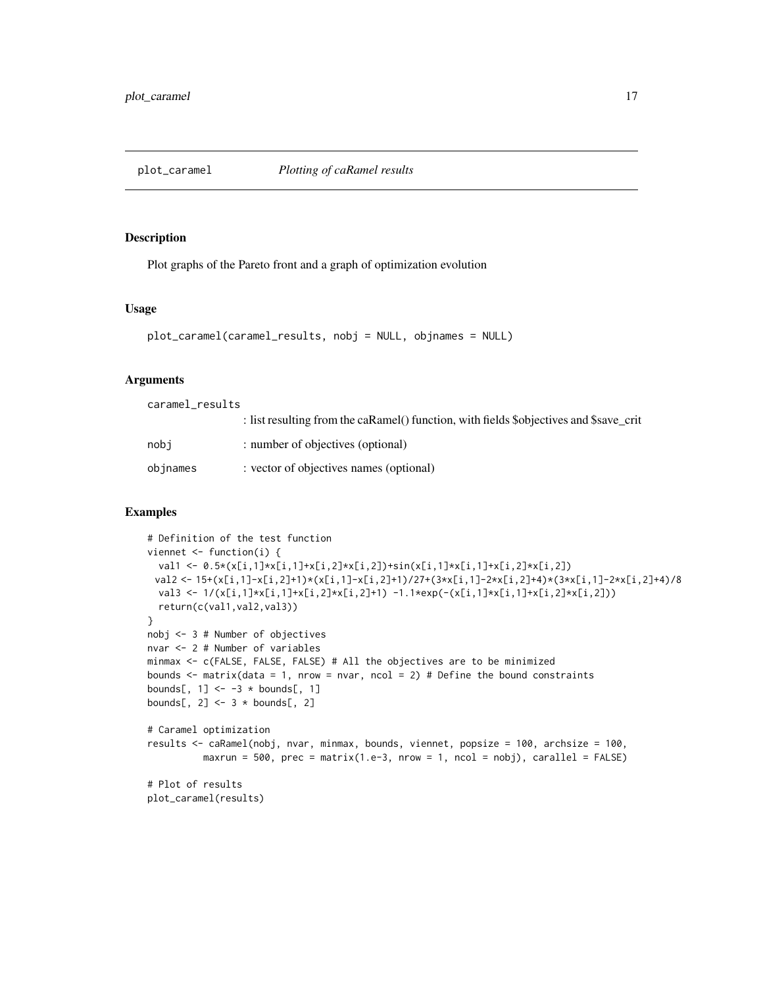<span id="page-16-0"></span>

Plot graphs of the Pareto front and a graph of optimization evolution

#### Usage

```
plot_caramel(caramel_results, nobj = NULL, objnames = NULL)
```
#### Arguments

caramel\_results

|          | : list resulting from the caRamel() function, with fields \$objectives and \$save_crit |
|----------|----------------------------------------------------------------------------------------|
| nobi     | : number of objectives (optional)                                                      |
| objnames | : vector of objectives names (optional)                                                |

```
# Definition of the test function
viennet <- function(i) {
  val1 <- 0.5*(x[i,1]*x[i,1]+x[i,2]*x[i,2])+sin(x[i,1]*x[i,1]+x[i,2]*x[i,2])
 val2 <- 15+(x[i,1]-x[i,2]+1)*(x[i,1]-x[i,2]+1)/27+(3*x[i,1]-2*x[i,2]+4)*(3*x[i,1]-2*x[i,2]+4)/8
 val3 <- 1/(x[i,1]*x[i,1]+x[i,2]*x[i,2]+1) -1.1*exp(-(x[i,1]*x[i,1]+x[i,2]*x[i,2]))
  return(c(val1,val2,val3))
}
nobj <- 3 # Number of objectives
nvar <- 2 # Number of variables
minmax <- c(FALSE, FALSE, FALSE) # All the objectives are to be minimized
bounds \le matrix(data = 1, nrow = nvar, ncol = 2) # Define the bound constraints
bounds[, 1] <- -3 * bounds[, 1]
bounds[, 2] <- 3 * bounds[, 2]
# Caramel optimization
results <- caRamel(nobj, nvar, minmax, bounds, viennet, popsize = 100, archsize = 100,
          maxrun = 500, prec = matrix(1.e-3, nrow = 1, ncol = nobj), cardle1 = FALSE)
# Plot of results
plot_caramel(results)
```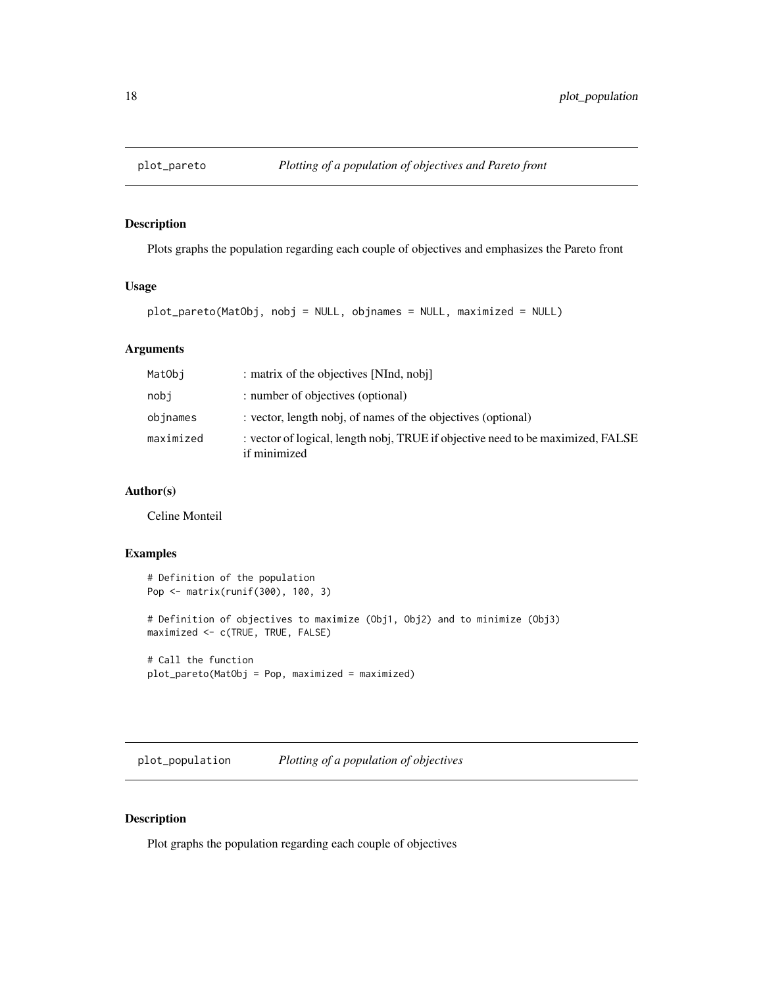<span id="page-17-0"></span>

Plots graphs the population regarding each couple of objectives and emphasizes the Pareto front

# Usage

```
plot_pareto(MatObj, nobj = NULL, objnames = NULL, maximized = NULL)
```
# Arguments

| MatObi    | : matrix of the objectives [NInd, nobj]                                                         |
|-----------|-------------------------------------------------------------------------------------------------|
| nobi      | : number of objectives (optional)                                                               |
| objnames  | : vector, length nobj, of names of the objectives (optional)                                    |
| maximized | : vector of logical, length nobj, TRUE if objective need to be maximized, FALSE<br>if minimized |

# Author(s)

Celine Monteil

# Examples

```
# Definition of the population
Pop <- matrix(runif(300), 100, 3)
# Definition of objectives to maximize (Obj1, Obj2) and to minimize (Obj3)
maximized <- c(TRUE, TRUE, FALSE)
# Call the function
plot_pareto(MatObj = Pop, maximized = maximized)
```
plot\_population *Plotting of a population of objectives*

# Description

Plot graphs the population regarding each couple of objectives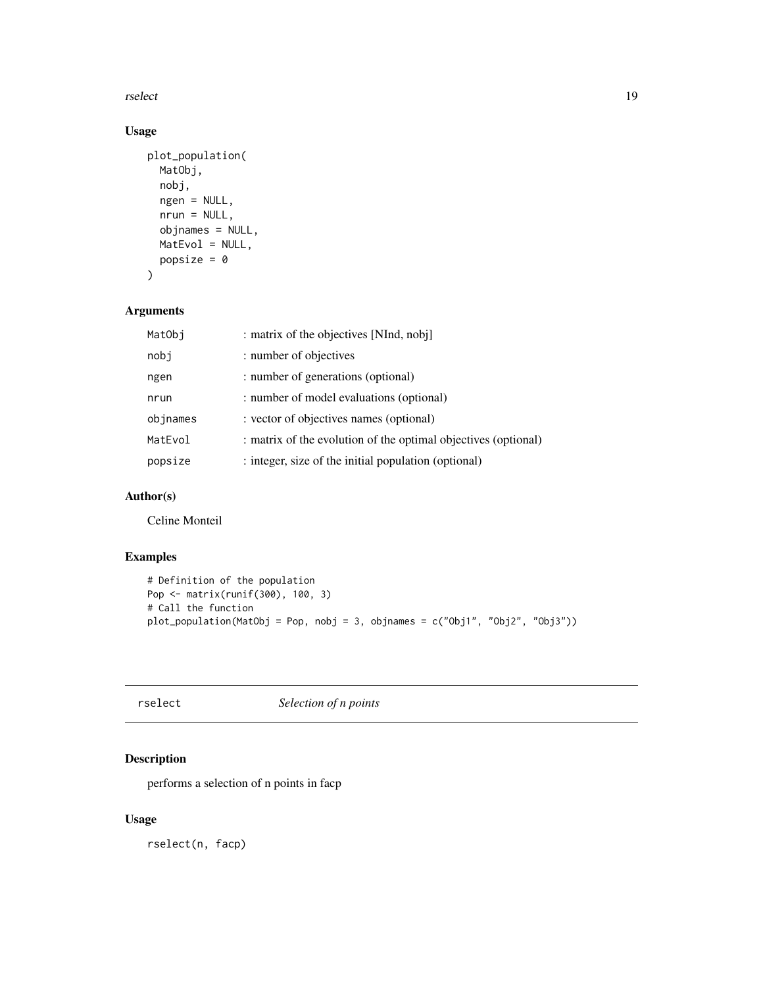<span id="page-18-0"></span>rselect 19

# Usage

```
plot_population(
  MatObj,
  nobj,
  ngen = NULL,
  nrun = NULL,objnames = NULL,
  MatEvol = NULL,
  popsize = \theta\mathcal{L}
```
# Arguments

| MatObi   | : matrix of the objectives [NInd, nobj]                        |
|----------|----------------------------------------------------------------|
| nobj     | : number of objectives                                         |
| ngen     | : number of generations (optional)                             |
| nrun     | : number of model evaluations (optional)                       |
| objnames | : vector of objectives names (optional)                        |
| MatEvol  | : matrix of the evolution of the optimal objectives (optional) |
| popsize  | : integer, size of the initial population (optional)           |

#### Author(s)

Celine Monteil

# Examples

```
# Definition of the population
Pop <- matrix(runif(300), 100, 3)
# Call the function
plot_population(MatObj = Pop, nobj = 3, objnames = c("Obj1", "Obj2", "Obj3"))
```
rselect *Selection of n points*

# Description

performs a selection of n points in facp

# Usage

rselect(n, facp)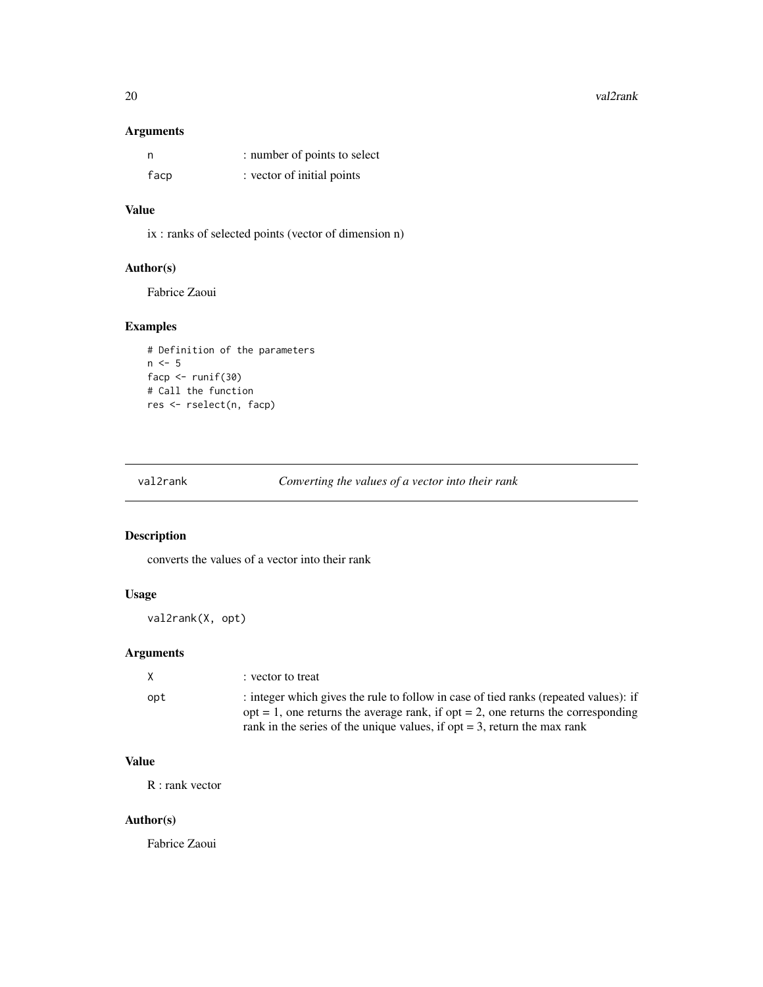#### <span id="page-19-0"></span>20 val2rank van die van die van die van die van die van die van die van die van die van die van die van die va

# Arguments

| - n  | : number of points to select |
|------|------------------------------|
| facp | : vector of initial points   |

# Value

ix : ranks of selected points (vector of dimension n)

# Author(s)

Fabrice Zaoui

# Examples

```
# Definition of the parameters
n \leq -5facp <- runif(30)
# Call the function
res <- rselect(n, facp)
```
val2rank *Converting the values of a vector into their rank*

# Description

converts the values of a vector into their rank

# Usage

val2rank(X, opt)

# Arguments

| X   | : vector to treat                                                                      |
|-----|----------------------------------------------------------------------------------------|
| opt | : integer which gives the rule to follow in case of tied ranks (repeated values): if   |
|     | $opt = 1$ , one returns the average rank, if $opt = 2$ , one returns the corresponding |
|     | rank in the series of the unique values, if opt $=$ 3, return the max rank             |

# Value

R : rank vector

# Author(s)

Fabrice Zaoui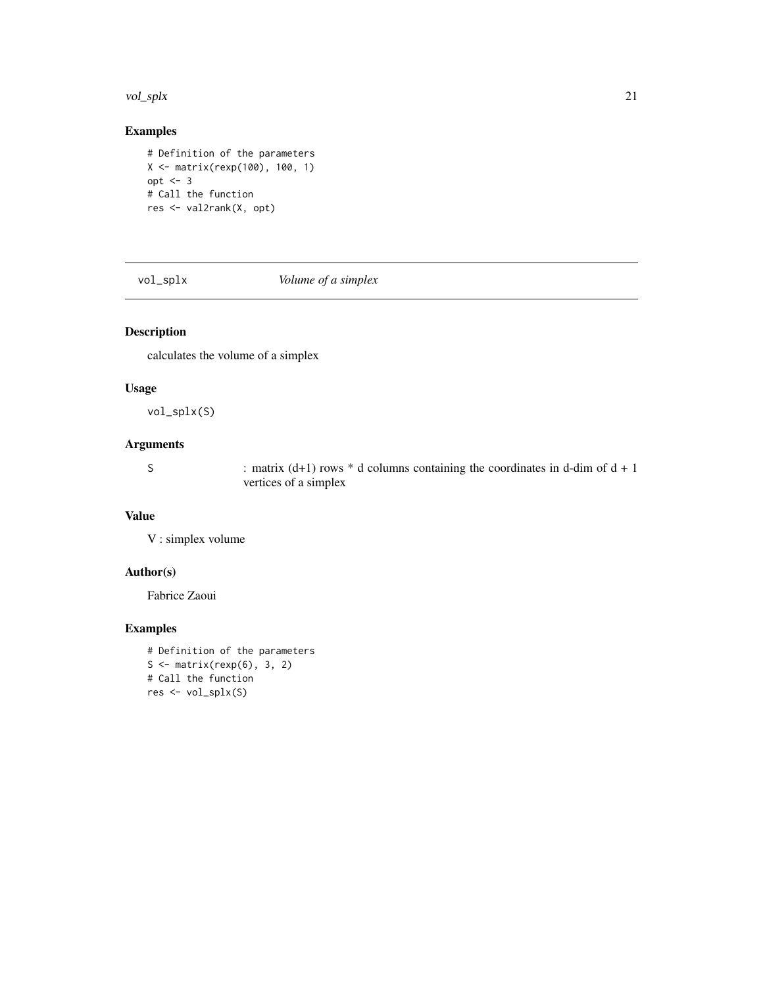#### <span id="page-20-0"></span>vol\_splx 21

# Examples

```
# Definition of the parameters
X <- matrix(rexp(100), 100, 1)
opt <- 3
# Call the function
res <- val2rank(X, opt)
```
vol\_splx *Volume of a simplex*

# Description

calculates the volume of a simplex

#### Usage

vol\_splx(S)

# Arguments

S : matrix  $(d+1)$  rows  $*$  d columns containing the coordinates in d-dim of  $d + 1$ vertices of a simplex

#### Value

V : simplex volume

#### Author(s)

Fabrice Zaoui

```
# Definition of the parameters
S \leftarrow matrix(rexp(6), 3, 2)
# Call the function
res <- vol_splx(S)
```